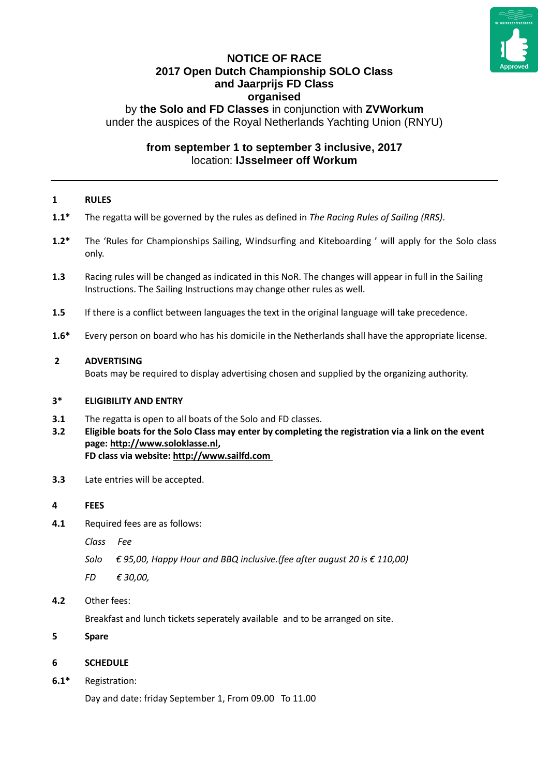

# **NOTICE OF RACE 2017 Open Dutch Championship SOLO Class and Jaarprijs FD Class organised**

by **the Solo and FD Classes** in conjunction with **ZVWorkum** under the auspices of the Royal Netherlands Yachting Union (RNYU)

# **from september 1 to september 3 inclusive, 2017** location: **IJsselmeer off Workum**

### **1 RULES**

- **1.1\*** The regatta will be governed by the rules as defined in *The Racing Rules of Sailing (RRS)*.
- **1.2\*** The 'Rules for Championships Sailing, Windsurfing and Kiteboarding ' will apply for the Solo class only.
- **1.3** Racing rules will be changed as indicated in this NoR. The changes will appear in full in the Sailing Instructions. The Sailing Instructions may change other rules as well.
- **1.5** If there is a conflict between languages the text in the original language will take precedence.
- **1.6\*** Every person on board who has his domicile in the Netherlands shall have the appropriate license.

#### **2 ADVERTISING**

Boats may be required to display advertising chosen and supplied by the organizing authority.

#### **3\* ELIGIBILITY AND ENTRY**

- **3.1** The regatta is open to all boats of the Solo and FD classes.
- **3.2 Eligible boats for the Solo Class may enter by completing the registration via a link on the event page: [http://www.soloklasse.nl,](http://www.soloklasse.nl/)**

**FD class via website[: http://www.sailfd.com](http://www.sailfd.com/)**

**3.3** Late entries will be accepted.

#### **4 FEES**

**4.1** Required fees are as follows:

*Class Fee*

- *Solo € 95,00, Happy Hour and BBQ inclusive.(fee after august 20 is € 110,00)*
- *FD € 30,00,*
- **4.2** Other fees:

Breakfast and lunch tickets seperately available and to be arranged on site.

**5 Spare**

#### **6 SCHEDULE**

**6.1\*** Registration:

Day and date: friday September 1, From 09.00 To 11.00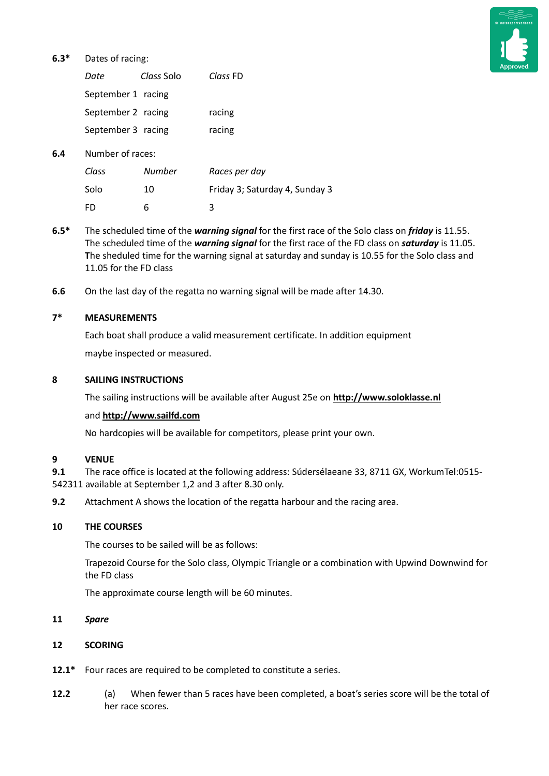# **6.3\*** Dates of racing:



|     | Date               | Class Solo | Class FD                       |
|-----|--------------------|------------|--------------------------------|
|     | September 1 racing |            |                                |
|     | September 2 racing |            | racing                         |
|     | September 3 racing |            | racing                         |
| 6.4 | Number of races:   |            |                                |
|     | Class              | Number     | Races per day                  |
|     | Solo               | 10         | Friday 3; Saturday 4, Sunday 3 |

- **6.5\*** The scheduled time of the *warning signal* for the first race of the Solo class on *friday* is 11.55. The scheduled time of the *warning signal* for the first race of the FD class on *saturday* is 11.05. **T**he sheduled time for the warning signal at saturday and sunday is 10.55 for the Solo class and 11.05 for the FD class
- **6.6** On the last day of the regatta no warning signal will be made after 14.30.

### **7\* MEASUREMENTS**

Each boat shall produce a valid measurement certificate. In addition equipment maybe inspected or measured.

### **8 SAILING INSTRUCTIONS**

The sailing instructions will be available after August 25e on **[http://www.soloklasse.nl](http://www.soloklasse.nl/)**

# and **[http://www.sailfd.com](http://www.sailfd.com/)**

FD 6 3

No hardcopies will be available for competitors, please print your own.

#### **9 VENUE**

**9.1** The race office is located at the following address: Súdersélaeane 33, 8711 GX, WorkumTel:0515- 542311 available at September 1,2 and 3 after 8.30 only.

**9.2** Attachment A shows the location of the regatta harbour and the racing area.

#### **10 THE COURSES**

The courses to be sailed will be as follows:

Trapezoid Course for the Solo class, Olympic Triangle or a combination with Upwind Downwind for the FD class

The approximate course length will be 60 minutes.

## **11** *Spare*

#### **12 SCORING**

- **12.1\*** Four races are required to be completed to constitute a series.
- **12.2** (a) When fewer than 5 races have been completed, a boat's series score will be the total of her race scores.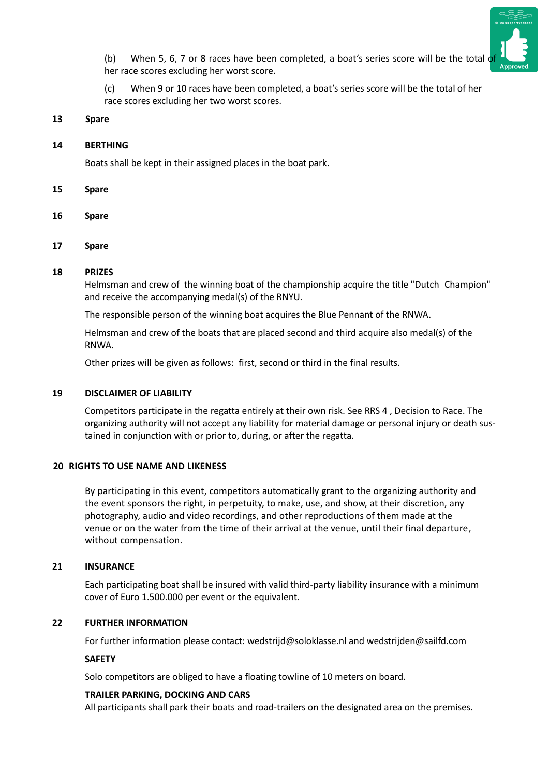

(b) When 5, 6, 7 or 8 races have been completed, a boat's series score will be the total  $\phi$ her race scores excluding her worst score.

(c) When 9 or 10 races have been completed, a boat's series score will be the total of her race scores excluding her two worst scores.

#### **13 Spare**

#### **14 BERTHING**

Boats shall be kept in their assigned places in the boat park.

- **15 Spare**
- **16 Spare**
- **17 Spare**

#### **18 PRIZES**

Helmsman and crew of the winning boat of the championship acquire the title "Dutch Champion" and receive the accompanying medal(s) of the RNYU.

The responsible person of the winning boat acquires the Blue Pennant of the RNWA.

Helmsman and crew of the boats that are placed second and third acquire also medal(s) of the RNWA.

Other prizes will be given as follows: first, second or third in the final results.

## **19 DISCLAIMER OF LIABILITY**

Competitors participate in the regatta entirely at their own risk. See RRS 4 , Decision to Race. The organizing authority will not accept any liability for material damage or personal injury or death sustained in conjunction with or prior to, during, or after the regatta.

#### **20 RIGHTS TO USE NAME AND LIKENESS**

By participating in this event, competitors automatically grant to the organizing authority and the event sponsors the right, in perpetuity, to make, use, and show, at their discretion, any photography, audio and video recordings, and other reproductions of them made at the venue or on the water from the time of their arrival at the venue, until their final departure, without compensation.

#### **21 INSURANCE**

Each participating boat shall be insured with valid third-party liability insurance with a minimum cover of Euro 1.500.000 per event or the equivalent.

# **22 FURTHER INFORMATION**

For further information please contact: [wedstrijd@soloklasse.nl](mailto:wedstrijd@soloklasse.nl) and [wedstrijden@sailfd.com](mailto:wedstrijden@sailfd.com)

#### **SAFETY**

Solo competitors are obliged to have a floating towline of 10 meters on board.

#### **TRAILER PARKING, DOCKING AND CARS**

All participants shall park their boats and road-trailers on the designated area on the premises.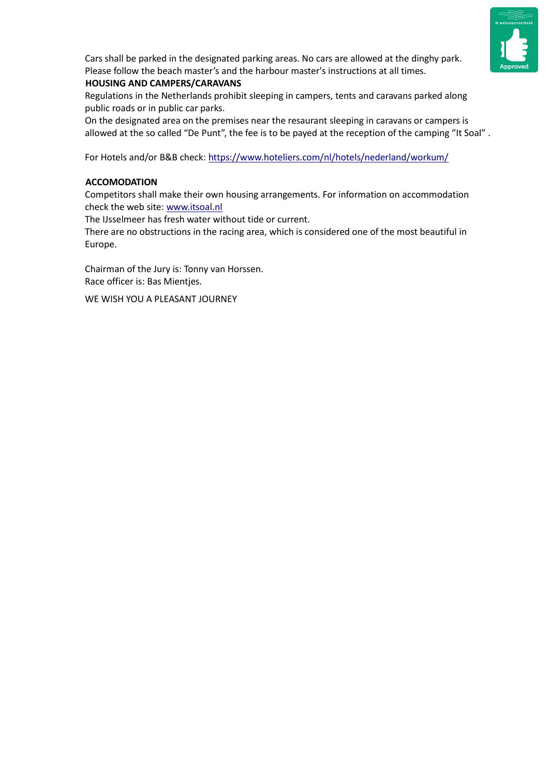

Cars shall be parked in the designated parking areas. No cars are allowed at the dinghy park. Please follow the beach master's and the harbour master's instructions at all times.

# **HOUSING AND CAMPERS/CARAVANS**

Regulations in the Netherlands prohibit sleeping in campers, tents and caravans parked along public roads or in public car parks.

On the designated area on the premises near the resaurant sleeping in caravans or campers is allowed at the so called "De Punt", the fee is to be payed at the reception of the camping "It Soal" .

For Hotels and/or B&B check:<https://www.hoteliers.com/nl/hotels/nederland/workum/>

# **ACCOMODATION**

Competitors shall make their own housing arrangements. For information on accommodation check the web site: [www.itsoal.nl](http://www.itsoal.nl/)

The IJsselmeer has fresh water without tide or current.

There are no obstructions in the racing area, which is considered one of the most beautiful in Europe.

Chairman of the Jury is: Tonny van Horssen. Race officer is: Bas Mientjes.

WE WISH YOU A PLEASANT JOURNEY